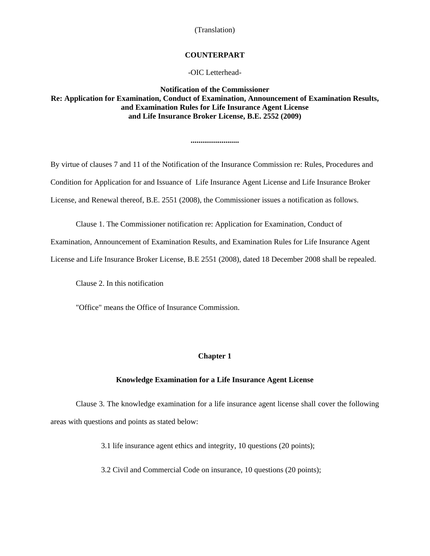#### **COUNTERPART**

-OIC Letterhead-

# **Notification of the Commissioner Re: Application for Examination, Conduct of Examination, Announcement of Examination Results, and Examination Rules for Life Insurance Agent License and Life Insurance Broker License, B.E. 2552 (2009)**

**.........................** 

By virtue of clauses 7 and 11 of the Notification of the Insurance Commission re: Rules, Procedures and Condition for Application for and Issuance of Life Insurance Agent License and Life Insurance Broker License, and Renewal thereof, B.E. 2551 (2008), the Commissioner issues a notification as follows.

Clause 1. The Commissioner notification re: Application for Examination, Conduct of

Examination, Announcement of Examination Results, and Examination Rules for Life Insurance Agent

License and Life Insurance Broker License, B.E 2551 (2008), dated 18 December 2008 shall be repealed.

Clause 2. In this notification

"Office" means the Office of Insurance Commission.

## **Chapter 1**

#### **Knowledge Examination for a Life Insurance Agent License**

Clause 3. The knowledge examination for a life insurance agent license shall cover the following areas with questions and points as stated below:

3.1 life insurance agent ethics and integrity, 10 questions (20 points);

3.2 Civil and Commercial Code on insurance, 10 questions (20 points);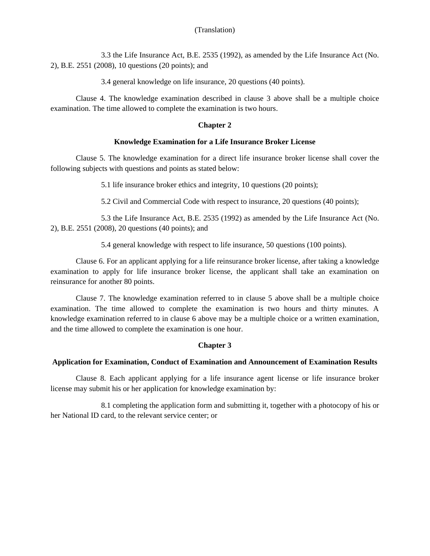3.3 the Life Insurance Act, B.E. 2535 (1992), as amended by the Life Insurance Act (No. 2), B.E. 2551 (2008), 10 questions (20 points); and

3.4 general knowledge on life insurance, 20 questions (40 points).

Clause 4. The knowledge examination described in clause 3 above shall be a multiple choice examination. The time allowed to complete the examination is two hours.

## **Chapter 2**

## **Knowledge Examination for a Life Insurance Broker License**

Clause 5. The knowledge examination for a direct life insurance broker license shall cover the following subjects with questions and points as stated below:

5.1 life insurance broker ethics and integrity, 10 questions (20 points);

5.2 Civil and Commercial Code with respect to insurance, 20 questions (40 points);

5.3 the Life Insurance Act, B.E. 2535 (1992) as amended by the Life Insurance Act (No. 2), B.E. 2551 (2008), 20 questions (40 points); and

5.4 general knowledge with respect to life insurance, 50 questions (100 points).

Clause 6. For an applicant applying for a life reinsurance broker license, after taking a knowledge examination to apply for life insurance broker license, the applicant shall take an examination on reinsurance for another 80 points.

Clause 7. The knowledge examination referred to in clause 5 above shall be a multiple choice examination. The time allowed to complete the examination is two hours and thirty minutes. A knowledge examination referred to in clause 6 above may be a multiple choice or a written examination, and the time allowed to complete the examination is one hour.

## **Chapter 3**

### **Application for Examination, Conduct of Examination and Announcement of Examination Results**

Clause 8. Each applicant applying for a life insurance agent license or life insurance broker license may submit his or her application for knowledge examination by:

8.1 completing the application form and submitting it, together with a photocopy of his or her National ID card, to the relevant service center; or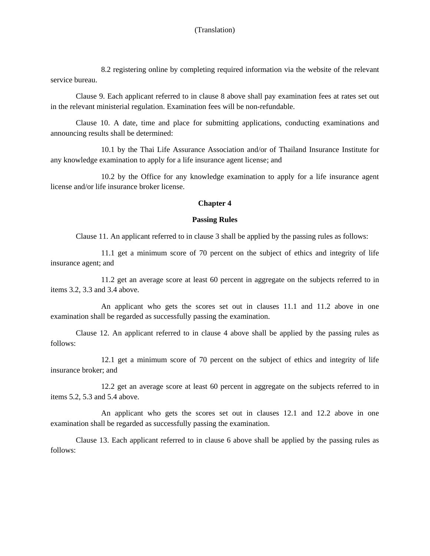8.2 registering online by completing required information via the website of the relevant service bureau.

Clause 9. Each applicant referred to in clause 8 above shall pay examination fees at rates set out in the relevant ministerial regulation. Examination fees will be non-refundable.

Clause 10. A date, time and place for submitting applications, conducting examinations and announcing results shall be determined:

10.1 by the Thai Life Assurance Association and/or of Thailand Insurance Institute for any knowledge examination to apply for a life insurance agent license; and

10.2 by the Office for any knowledge examination to apply for a life insurance agent license and/or life insurance broker license.

## **Chapter 4**

## **Passing Rules**

Clause 11. An applicant referred to in clause 3 shall be applied by the passing rules as follows:

11.1 get a minimum score of 70 percent on the subject of ethics and integrity of life insurance agent; and

11.2 get an average score at least 60 percent in aggregate on the subjects referred to in items 3.2, 3.3 and 3.4 above.

An applicant who gets the scores set out in clauses 11.1 and 11.2 above in one examination shall be regarded as successfully passing the examination.

Clause 12. An applicant referred to in clause 4 above shall be applied by the passing rules as follows:

12.1 get a minimum score of 70 percent on the subject of ethics and integrity of life insurance broker; and

12.2 get an average score at least 60 percent in aggregate on the subjects referred to in items 5.2, 5.3 and 5.4 above.

An applicant who gets the scores set out in clauses 12.1 and 12.2 above in one examination shall be regarded as successfully passing the examination.

Clause 13. Each applicant referred to in clause 6 above shall be applied by the passing rules as follows: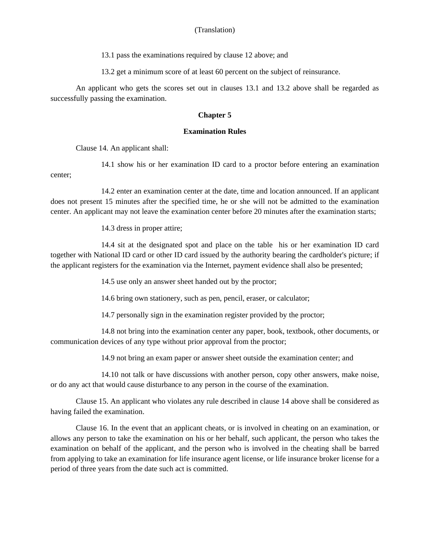13.1 pass the examinations required by clause 12 above; and

13.2 get a minimum score of at least 60 percent on the subject of reinsurance.

An applicant who gets the scores set out in clauses 13.1 and 13.2 above shall be regarded as successfully passing the examination.

## **Chapter 5**

## **Examination Rules**

Clause 14. An applicant shall:

14.1 show his or her examination ID card to a proctor before entering an examination center;

14.2 enter an examination center at the date, time and location announced. If an applicant does not present 15 minutes after the specified time, he or she will not be admitted to the examination center. An applicant may not leave the examination center before 20 minutes after the examination starts;

14.3 dress in proper attire;

14.4 sit at the designated spot and place on the table his or her examination ID card together with National ID card or other ID card issued by the authority bearing the cardholder's picture; if the applicant registers for the examination via the Internet, payment evidence shall also be presented;

14.5 use only an answer sheet handed out by the proctor;

14.6 bring own stationery, such as pen, pencil, eraser, or calculator;

14.7 personally sign in the examination register provided by the proctor;

14.8 not bring into the examination center any paper, book, textbook, other documents, or communication devices of any type without prior approval from the proctor;

14.9 not bring an exam paper or answer sheet outside the examination center; and

14.10 not talk or have discussions with another person, copy other answers, make noise, or do any act that would cause disturbance to any person in the course of the examination.

Clause 15. An applicant who violates any rule described in clause 14 above shall be considered as having failed the examination.

Clause 16. In the event that an applicant cheats, or is involved in cheating on an examination, or allows any person to take the examination on his or her behalf, such applicant, the person who takes the examination on behalf of the applicant, and the person who is involved in the cheating shall be barred from applying to take an examination for life insurance agent license, or life insurance broker license for a period of three years from the date such act is committed.